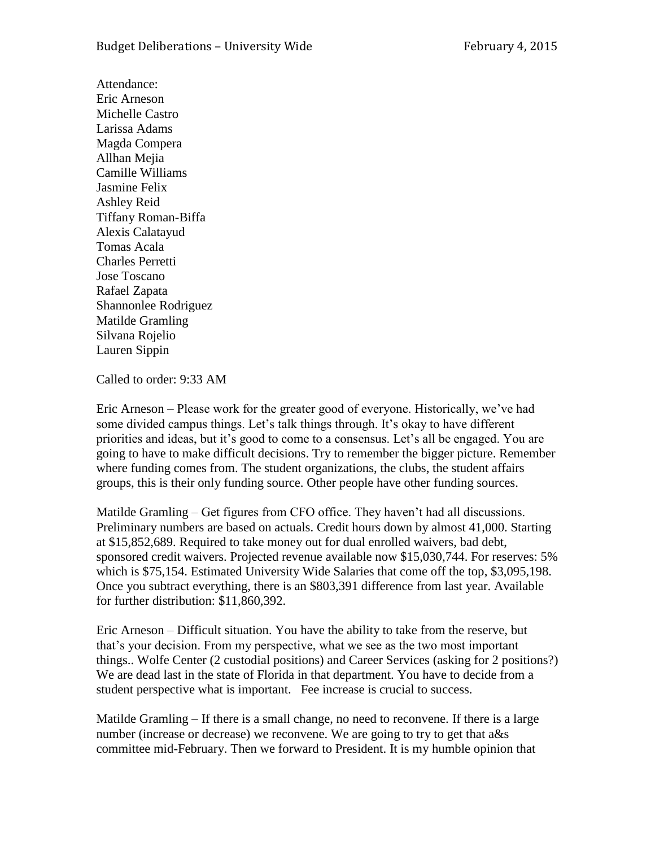Attendance: Eric Arneson Michelle Castro Larissa Adams Magda Compera Allhan Mejia Camille Williams Jasmine Felix Ashley Reid Tiffany Roman-Biffa Alexis Calatayud Tomas Acala Charles Perretti Jose Toscano Rafael Zapata Shannonlee Rodriguez Matilde Gramling Silvana Rojelio Lauren Sippin

Called to order: 9:33 AM

Eric Arneson – Please work for the greater good of everyone. Historically, we've had some divided campus things. Let's talk things through. It's okay to have different priorities and ideas, but it's good to come to a consensus. Let's all be engaged. You are going to have to make difficult decisions. Try to remember the bigger picture. Remember where funding comes from. The student organizations, the clubs, the student affairs groups, this is their only funding source. Other people have other funding sources.

Matilde Gramling – Get figures from CFO office. They haven't had all discussions. Preliminary numbers are based on actuals. Credit hours down by almost 41,000. Starting at \$15,852,689. Required to take money out for dual enrolled waivers, bad debt, sponsored credit waivers. Projected revenue available now \$15,030,744. For reserves: 5% which is \$75,154. Estimated University Wide Salaries that come off the top, \$3,095,198. Once you subtract everything, there is an \$803,391 difference from last year. Available for further distribution: \$11,860,392.

Eric Arneson – Difficult situation. You have the ability to take from the reserve, but that's your decision. From my perspective, what we see as the two most important things.. Wolfe Center (2 custodial positions) and Career Services (asking for 2 positions?) We are dead last in the state of Florida in that department. You have to decide from a student perspective what is important. Fee increase is crucial to success.

Matilde Gramling  $-$  If there is a small change, no need to reconvene. If there is a large number (increase or decrease) we reconvene. We are going to try to get that a&s committee mid-February. Then we forward to President. It is my humble opinion that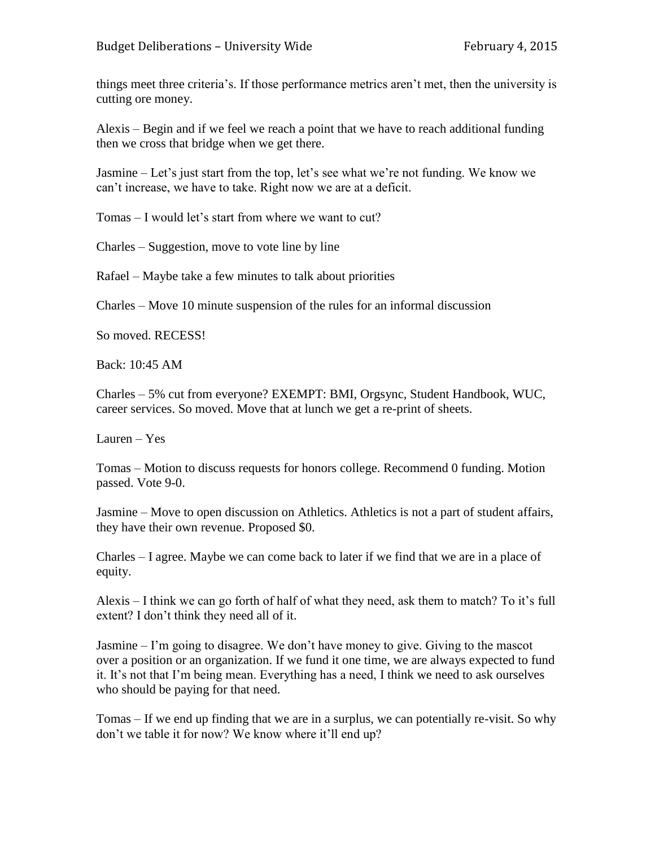things meet three criteria's. If those performance metrics aren't met, then the university is cutting ore money.

Alexis – Begin and if we feel we reach a point that we have to reach additional funding then we cross that bridge when we get there.

Jasmine – Let's just start from the top, let's see what we're not funding. We know we can't increase, we have to take. Right now we are at a deficit.

Tomas – I would let's start from where we want to cut?

Charles – Suggestion, move to vote line by line

Rafael – Maybe take a few minutes to talk about priorities

Charles – Move 10 minute suspension of the rules for an informal discussion

So moved. RECESS!

Back: 10:45 AM

Charles – 5% cut from everyone? EXEMPT: BMI, Orgsync, Student Handbook, WUC, career services. So moved. Move that at lunch we get a re-print of sheets.

Lauren – Yes

Tomas – Motion to discuss requests for honors college. Recommend 0 funding. Motion passed. Vote 9-0.

Jasmine – Move to open discussion on Athletics. Athletics is not a part of student affairs, they have their own revenue. Proposed \$0.

Charles – I agree. Maybe we can come back to later if we find that we are in a place of equity.

Alexis – I think we can go forth of half of what they need, ask them to match? To it's full extent? I don't think they need all of it.

Jasmine – I'm going to disagree. We don't have money to give. Giving to the mascot over a position or an organization. If we fund it one time, we are always expected to fund it. It's not that I'm being mean. Everything has a need, I think we need to ask ourselves who should be paying for that need.

Tomas – If we end up finding that we are in a surplus, we can potentially re-visit. So why don't we table it for now? We know where it'll end up?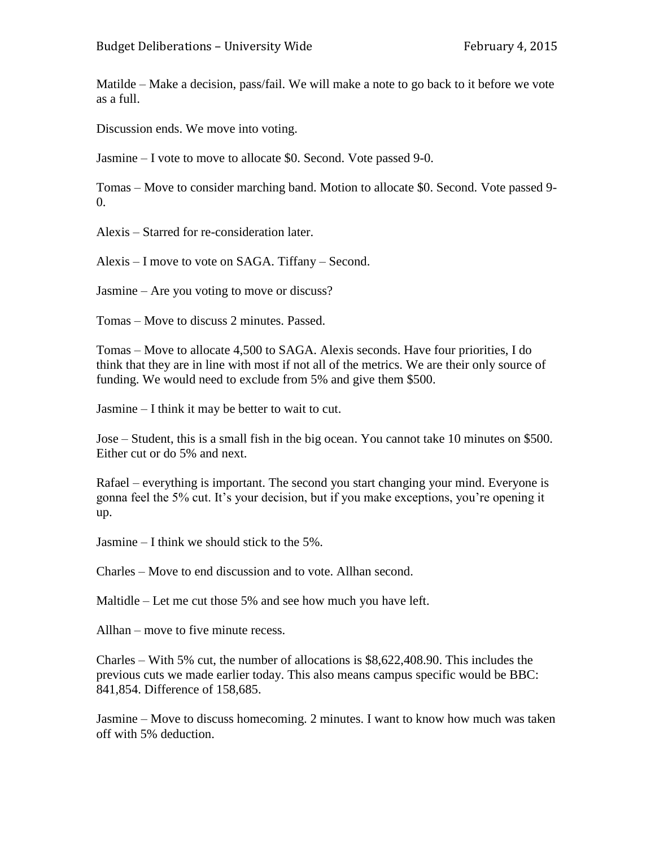Matilde – Make a decision, pass/fail. We will make a note to go back to it before we vote as a full.

Discussion ends. We move into voting.

Jasmine – I vote to move to allocate \$0. Second. Vote passed 9-0.

Tomas – Move to consider marching band. Motion to allocate \$0. Second. Vote passed 9-  $\Omega$ .

Alexis – Starred for re-consideration later.

Alexis – I move to vote on SAGA. Tiffany – Second.

Jasmine – Are you voting to move or discuss?

Tomas – Move to discuss 2 minutes. Passed.

Tomas – Move to allocate 4,500 to SAGA. Alexis seconds. Have four priorities, I do think that they are in line with most if not all of the metrics. We are their only source of funding. We would need to exclude from 5% and give them \$500.

Jasmine – I think it may be better to wait to cut.

Jose – Student, this is a small fish in the big ocean. You cannot take 10 minutes on \$500. Either cut or do 5% and next.

Rafael – everything is important. The second you start changing your mind. Everyone is gonna feel the 5% cut. It's your decision, but if you make exceptions, you're opening it up.

Jasmine – I think we should stick to the 5%.

Charles – Move to end discussion and to vote. Allhan second.

Maltidle – Let me cut those 5% and see how much you have left.

Allhan – move to five minute recess.

Charles – With 5% cut, the number of allocations is \$8,622,408.90. This includes the previous cuts we made earlier today. This also means campus specific would be BBC: 841,854. Difference of 158,685.

Jasmine – Move to discuss homecoming. 2 minutes. I want to know how much was taken off with 5% deduction.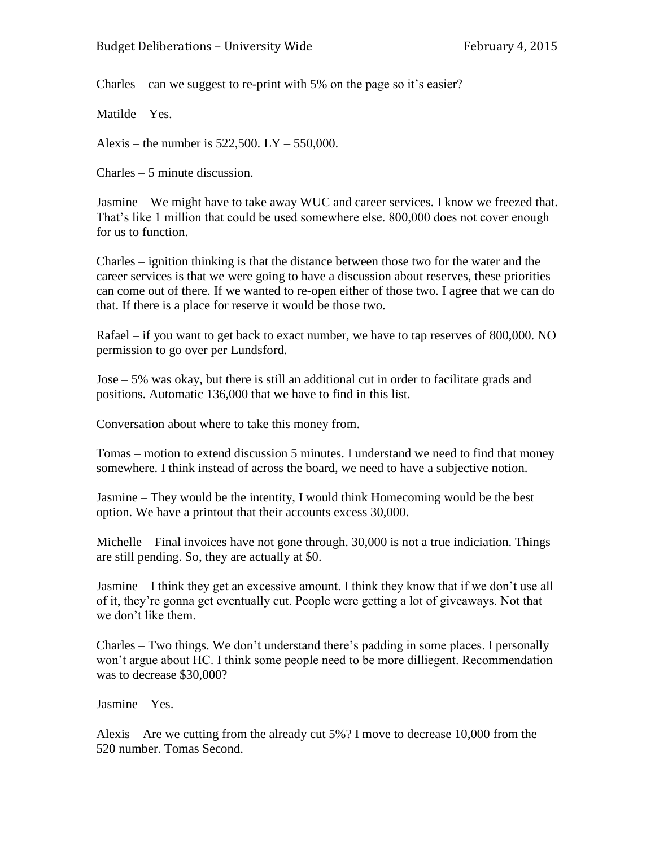Charles – can we suggest to re-print with 5% on the page so it's easier?

Matilde – Yes.

Alexis – the number is  $522,500$ . LY –  $550,000$ .

Charles – 5 minute discussion.

Jasmine – We might have to take away WUC and career services. I know we freezed that. That's like 1 million that could be used somewhere else. 800,000 does not cover enough for us to function.

Charles – ignition thinking is that the distance between those two for the water and the career services is that we were going to have a discussion about reserves, these priorities can come out of there. If we wanted to re-open either of those two. I agree that we can do that. If there is a place for reserve it would be those two.

Rafael – if you want to get back to exact number, we have to tap reserves of 800,000. NO permission to go over per Lundsford.

Jose – 5% was okay, but there is still an additional cut in order to facilitate grads and positions. Automatic 136,000 that we have to find in this list.

Conversation about where to take this money from.

Tomas – motion to extend discussion 5 minutes. I understand we need to find that money somewhere. I think instead of across the board, we need to have a subjective notion.

Jasmine – They would be the intentity, I would think Homecoming would be the best option. We have a printout that their accounts excess 30,000.

Michelle – Final invoices have not gone through. 30,000 is not a true indiciation. Things are still pending. So, they are actually at \$0.

Jasmine – I think they get an excessive amount. I think they know that if we don't use all of it, they're gonna get eventually cut. People were getting a lot of giveaways. Not that we don't like them.

Charles – Two things. We don't understand there's padding in some places. I personally won't argue about HC. I think some people need to be more dilliegent. Recommendation was to decrease \$30,000?

Jasmine – Yes.

Alexis – Are we cutting from the already cut 5%? I move to decrease 10,000 from the 520 number. Tomas Second.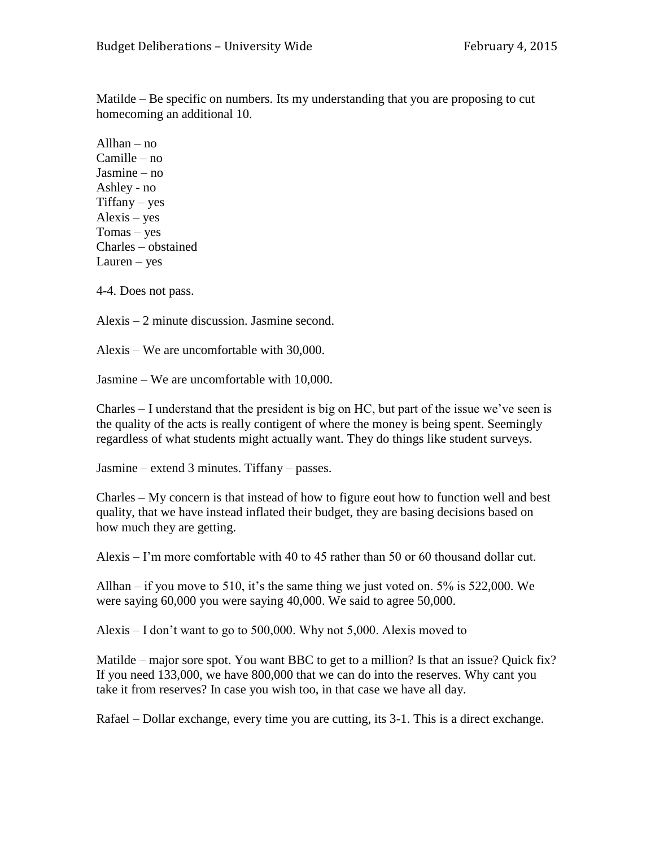Matilde – Be specific on numbers. Its my understanding that you are proposing to cut homecoming an additional 10.

Allhan – no Camille – no Jasmine – no Ashley - no Tiffany – yes Alexis – yes Tomas – yes Charles – obstained Lauren – yes

4-4. Does not pass.

Alexis – 2 minute discussion. Jasmine second.

Alexis – We are uncomfortable with 30,000.

Jasmine – We are uncomfortable with 10,000.

Charles – I understand that the president is big on HC, but part of the issue we've seen is the quality of the acts is really contigent of where the money is being spent. Seemingly regardless of what students might actually want. They do things like student surveys.

Jasmine – extend 3 minutes. Tiffany – passes.

Charles – My concern is that instead of how to figure eout how to function well and best quality, that we have instead inflated their budget, they are basing decisions based on how much they are getting.

Alexis – I'm more comfortable with 40 to 45 rather than 50 or 60 thousand dollar cut.

Allhan – if you move to 510, it's the same thing we just voted on. 5% is 522,000. We were saying 60,000 you were saying 40,000. We said to agree 50,000.

Alexis – I don't want to go to 500,000. Why not 5,000. Alexis moved to

Matilde – major sore spot. You want BBC to get to a million? Is that an issue? Quick fix? If you need 133,000, we have 800,000 that we can do into the reserves. Why cant you take it from reserves? In case you wish too, in that case we have all day.

Rafael – Dollar exchange, every time you are cutting, its 3-1. This is a direct exchange.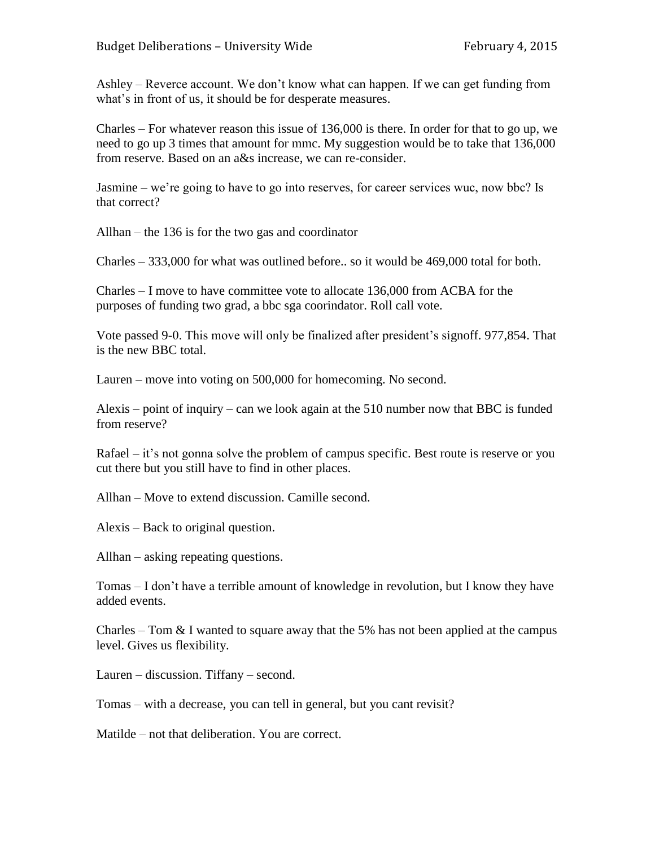Ashley – Reverce account. We don't know what can happen. If we can get funding from what's in front of us, it should be for desperate measures.

Charles – For whatever reason this issue of 136,000 is there. In order for that to go up, we need to go up 3 times that amount for mmc. My suggestion would be to take that 136,000 from reserve. Based on an a&s increase, we can re-consider.

Jasmine – we're going to have to go into reserves, for career services wuc, now bbc? Is that correct?

Allhan – the 136 is for the two gas and coordinator

Charles – 333,000 for what was outlined before.. so it would be 469,000 total for both.

Charles – I move to have committee vote to allocate 136,000 from ACBA for the purposes of funding two grad, a bbc sga coorindator. Roll call vote.

Vote passed 9-0. This move will only be finalized after president's signoff. 977,854. That is the new BBC total.

Lauren – move into voting on 500,000 for homecoming. No second.

Alexis – point of inquiry – can we look again at the 510 number now that BBC is funded from reserve?

Rafael – it's not gonna solve the problem of campus specific. Best route is reserve or you cut there but you still have to find in other places.

Allhan – Move to extend discussion. Camille second.

Alexis – Back to original question.

Allhan – asking repeating questions.

Tomas – I don't have a terrible amount of knowledge in revolution, but I know they have added events.

Charles – Tom  $& 1$  wanted to square away that the 5% has not been applied at the campus level. Gives us flexibility.

Lauren – discussion. Tiffany – second.

Tomas – with a decrease, you can tell in general, but you cant revisit?

Matilde – not that deliberation. You are correct.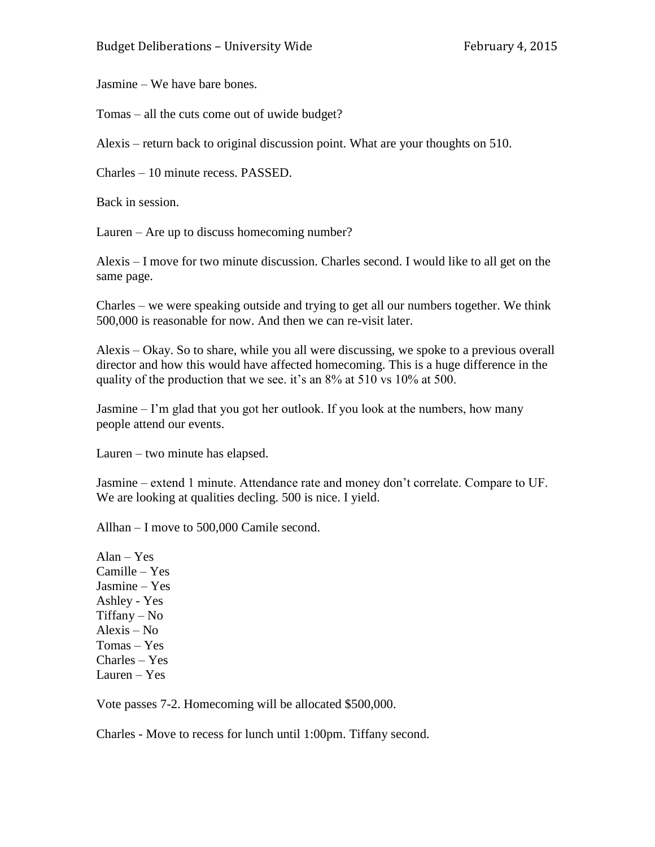Jasmine – We have bare bones.

Tomas – all the cuts come out of uwide budget?

Alexis – return back to original discussion point. What are your thoughts on 510.

Charles – 10 minute recess. PASSED.

Back in session.

Lauren – Are up to discuss homecoming number?

Alexis – I move for two minute discussion. Charles second. I would like to all get on the same page.

Charles – we were speaking outside and trying to get all our numbers together. We think 500,000 is reasonable for now. And then we can re-visit later.

Alexis – Okay. So to share, while you all were discussing, we spoke to a previous overall director and how this would have affected homecoming. This is a huge difference in the quality of the production that we see. it's an 8% at 510 vs 10% at 500.

Jasmine – I'm glad that you got her outlook. If you look at the numbers, how many people attend our events.

Lauren – two minute has elapsed.

Jasmine – extend 1 minute. Attendance rate and money don't correlate. Compare to UF. We are looking at qualities decling. 500 is nice. I yield.

Allhan – I move to 500,000 Camile second.

 $Alan - Yes$ Camille – Yes Jasmine – Yes Ashley - Yes Tiffany – No Alexis – No Tomas – Yes Charles – Yes Lauren – Yes

Vote passes 7-2. Homecoming will be allocated \$500,000.

Charles - Move to recess for lunch until 1:00pm. Tiffany second.